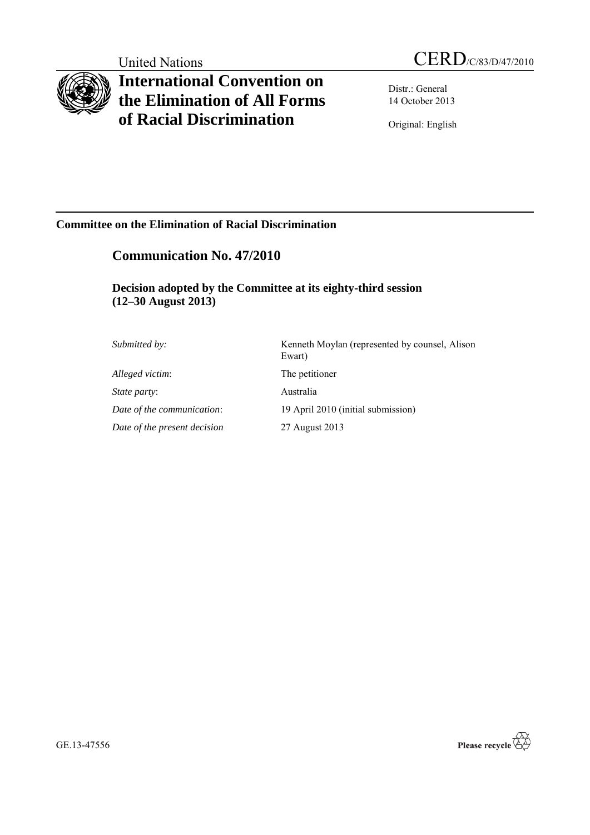# **International Convention on the Elimination of All Forms of Racial Discrimination**

Distr.: General 14 October 2013

Original: English

## **Committee on the Elimination of Racial Discrimination**

## **Communication No. 47/2010**

## **Decision adopted by the Committee at its eighty-third session (12–30 August 2013)**

| Submitted by:                | Kenneth Moylan (represented by counsel, Alison<br>Ewart) |
|------------------------------|----------------------------------------------------------|
| Alleged victim:              | The petitioner                                           |
| <i>State party:</i>          | Australia                                                |
| Date of the communication:   | 19 April 2010 (initial submission)                       |
| Date of the present decision | 27 August 2013                                           |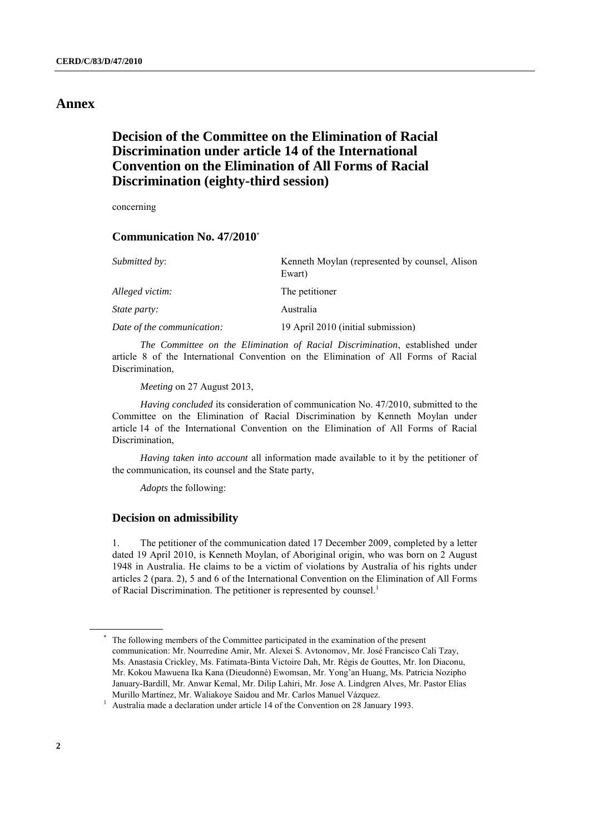## **Annex**

## **Decision of the Committee on the Elimination of Racial Discrimination under article 14 of the International Convention on the Elimination of All Forms of Racial Discrimination (eighty-third session)**

concerning

### **Communication No. 47/2010**\*

| <i>Submitted by:</i>       | Kenneth Moylan (represented by counsel, Alison<br>Ewart) |
|----------------------------|----------------------------------------------------------|
| Alleged victim:            | The petitioner                                           |
| <i>State party:</i>        | Australia                                                |
| Date of the communication: | 19 April 2010 (initial submission)                       |

*The Committee on the Elimination of Racial Discrimination*, established under article 8 of the International Convention on the Elimination of All Forms of Racial Discrimination,

*Meeting* on 27 August 2013,

*Having concluded* its consideration of communication No. 47/2010, submitted to the Committee on the Elimination of Racial Discrimination by Kenneth Moylan under article 14 of the International Convention on the Elimination of All Forms of Racial Discrimination,

*Having taken into account* all information made available to it by the petitioner of the communication, its counsel and the State party,

*Adopts* the following:

#### **Decision on admissibility**

1. The petitioner of the communication dated 17 December 2009, completed by a letter dated 19 April 2010, is Kenneth Moylan, of Aboriginal origin, who was born on 2 August 1948 in Australia. He claims to be a victim of violations by Australia of his rights under articles 2 (para. 2), 5 and 6 of the International Convention on the Elimination of All Forms of Racial Discrimination. The petitioner is represented by counsel.<sup>1</sup>

<sup>\*</sup> The following members of the Committee participated in the examination of the present communication: Mr. Nourredine Amir, Mr. Alexei S. Avtonomov, Mr. José Francisco Cali Tzay, Ms. Anastasia Crickley, Ms. Fatimata-Binta Victoire Dah, Mr. Régis de Gouttes, Mr. Ion Diaconu, Mr. Kokou Mawuena Ika Kana (Dieudonné) Ewomsan, Mr. Yong'an Huang, Ms. Patricia Nozipho January-Bardill, Mr. Anwar Kemal, Mr. Dilip Lahiri, Mr. Jose A. Lindgren Alves, Mr. Pastor Elías Murillo Martínez, Mr. Waliakoye Saidou and Mr. Carlos Manuel Vázquez.

<sup>&</sup>lt;sup>1</sup> Australia made a declaration under article 14 of the Convention on 28 January 1993.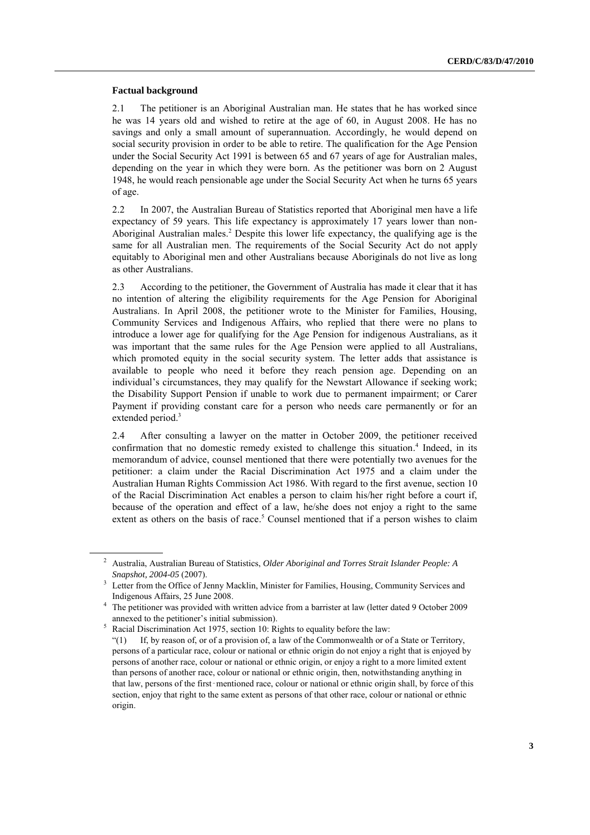#### **Factual background**

2.1 The petitioner is an Aboriginal Australian man. He states that he has worked since he was 14 years old and wished to retire at the age of 60, in August 2008. He has no savings and only a small amount of superannuation. Accordingly, he would depend on social security provision in order to be able to retire. The qualification for the Age Pension under the Social Security Act 1991 is between 65 and 67 years of age for Australian males, depending on the year in which they were born. As the petitioner was born on 2 August 1948, he would reach pensionable age under the Social Security Act when he turns 65 years of age.

2.2 In 2007, the Australian Bureau of Statistics reported that Aboriginal men have a life expectancy of 59 years. This life expectancy is approximately 17 years lower than non-Aboriginal Australian males. <sup>2</sup> Despite this lower life expectancy, the qualifying age is the same for all Australian men. The requirements of the Social Security Act do not apply equitably to Aboriginal men and other Australians because Aboriginals do not live as long as other Australians.

2.3 According to the petitioner, the Government of Australia has made it clear that it has no intention of altering the eligibility requirements for the Age Pension for Aboriginal Australians. In April 2008, the petitioner wrote to the Minister for Families, Housing, Community Services and Indigenous Affairs, who replied that there were no plans to introduce a lower age for qualifying for the Age Pension for indigenous Australians, as it was important that the same rules for the Age Pension were applied to all Australians, which promoted equity in the social security system. The letter adds that assistance is available to people who need it before they reach pension age. Depending on an individual's circumstances, they may qualify for the Newstart Allowance if seeking work; the Disability Support Pension if unable to work due to permanent impairment; or Carer Payment if providing constant care for a person who needs care permanently or for an extended period.<sup>3</sup>

2.4 After consulting a lawyer on the matter in October 2009, the petitioner received confirmation that no domestic remedy existed to challenge this situation. 4 Indeed, in its memorandum of advice, counsel mentioned that there were potentially two avenues for the petitioner: a claim under the Racial Discrimination Act 1975 and a claim under the Australian Human Rights Commission Act 1986. With regard to the first avenue, section 10 of the Racial Discrimination Act enables a person to claim his/her right before a court if, because of the operation and effect of a law, he/she does not enjoy a right to the same extent as others on the basis of race.<sup>5</sup> Counsel mentioned that if a person wishes to claim

<sup>2</sup> Australia, Australian Bureau of Statistics, *Older Aboriginal and Torres Strait Islander People: A Snapshot, 2004-05* (2007).

Letter from the Office of Jenny Macklin, Minister for Families, Housing, Community Services and Indigenous Affairs, 25 June 2008.

<sup>&</sup>lt;sup>4</sup> The petitioner was provided with written advice from a barrister at law (letter dated 9 October 2009 annexed to the petitioner's initial submission).

 $5$  Racial Discrimination Act 1975, section 10: Rights to equality before the law:

<sup>&</sup>quot;(1) If, by reason of, or of a provision of, a law of the Commonwealth or of a State or Territory, persons of a particular race, colour or national or ethnic origin do not enjoy a right that is enjoyed by persons of another race, colour or national or ethnic origin, or enjoy a right to a more limited extent than persons of another race, colour or national or ethnic origin, then, notwithstanding anything in that law, persons of the first–mentioned race, colour or national or ethnic origin shall, by force of this section, enjoy that right to the same extent as persons of that other race, colour or national or ethnic origin.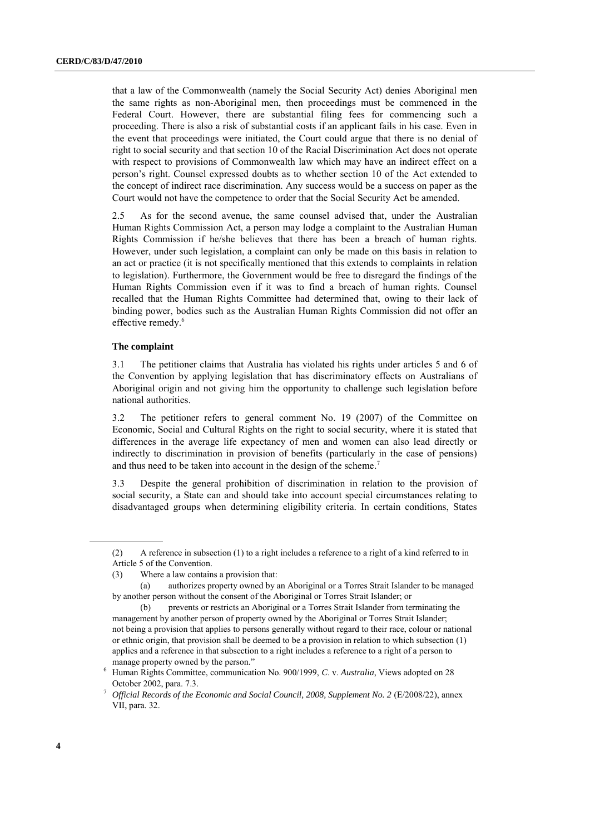that a law of the Commonwealth (namely the Social Security Act) denies Aboriginal men the same rights as non-Aboriginal men, then proceedings must be commenced in the Federal Court. However, there are substantial filing fees for commencing such a proceeding. There is also a risk of substantial costs if an applicant fails in his case. Even in the event that proceedings were initiated, the Court could argue that there is no denial of right to social security and that section 10 of the Racial Discrimination Act does not operate with respect to provisions of Commonwealth law which may have an indirect effect on a person's right. Counsel expressed doubts as to whether section 10 of the Act extended to the concept of indirect race discrimination. Any success would be a success on paper as the Court would not have the competence to order that the Social Security Act be amended.

2.5 As for the second avenue, the same counsel advised that, under the Australian Human Rights Commission Act, a person may lodge a complaint to the Australian Human Rights Commission if he/she believes that there has been a breach of human rights. However, under such legislation, a complaint can only be made on this basis in relation to an act or practice (it is not specifically mentioned that this extends to complaints in relation to legislation). Furthermore, the Government would be free to disregard the findings of the Human Rights Commission even if it was to find a breach of human rights. Counsel recalled that the Human Rights Committee had determined that, owing to their lack of binding power, bodies such as the Australian Human Rights Commission did not offer an effective remedy. 6

#### **The complaint**

3.1 The petitioner claims that Australia has violated his rights under articles 5 and 6 of the Convention by applying legislation that has discriminatory effects on Australians of Aboriginal origin and not giving him the opportunity to challenge such legislation before national authorities.

3.2 The petitioner refers to general comment No. 19 (2007) of the Committee on Economic, Social and Cultural Rights on the right to social security, where it is stated that differences in the average life expectancy of men and women can also lead directly or indirectly to discrimination in provision of benefits (particularly in the case of pensions) and thus need to be taken into account in the design of the scheme.<sup>7</sup>

3.3 Despite the general prohibition of discrimination in relation to the provision of social security, a State can and should take into account special circumstances relating to disadvantaged groups when determining eligibility criteria. In certain conditions, States

<sup>(2)</sup> A reference in subsection (1) to a right includes a reference to a right of a kind referred to in Article 5 of the Convention.

<sup>(3)</sup> Where a law contains a provision that:

<sup>(</sup>a) authorizes property owned by an Aboriginal or a Torres Strait Islander to be managed by another person without the consent of the Aboriginal or Torres Strait Islander; or

<sup>(</sup>b) prevents or restricts an Aboriginal or a Torres Strait Islander from terminating the management by another person of property owned by the Aboriginal or Torres Strait Islander; not being a provision that applies to persons generally without regard to their race, colour or national or ethnic origin, that provision shall be deemed to be a provision in relation to which subsection (1) applies and a reference in that subsection to a right includes a reference to a right of a person to manage property owned by the person."

<sup>6</sup> Human Rights Committee, communication No. 900/1999, *C*. v. *Australia*, Views adopted on 28 October 2002, para. 7.3.

<sup>7</sup> *Official Records of the Economic and Social Council, 2008, Supplement No. 2* (E/2008/22), annex VII, para. 32.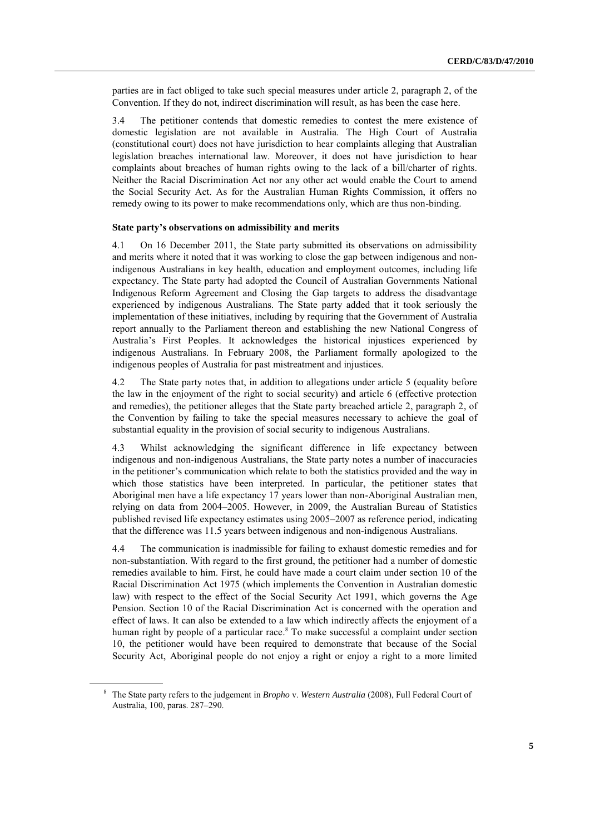parties are in fact obliged to take such special measures under article 2, paragraph 2, of the Convention. If they do not, indirect discrimination will result, as has been the case here.

3.4 The petitioner contends that domestic remedies to contest the mere existence of domestic legislation are not available in Australia. The High Court of Australia (constitutional court) does not have jurisdiction to hear complaints alleging that Australian legislation breaches international law. Moreover, it does not have jurisdiction to hear complaints about breaches of human rights owing to the lack of a bill/charter of rights. Neither the Racial Discrimination Act nor any other act would enable the Court to amend the Social Security Act. As for the Australian Human Rights Commission, it offers no remedy owing to its power to make recommendations only, which are thus non-binding.

#### **State party's observations on admissibility and merits**

4.1 On 16 December 2011, the State party submitted its observations on admissibility and merits where it noted that it was working to close the gap between indigenous and nonindigenous Australians in key health, education and employment outcomes, including life expectancy. The State party had adopted the Council of Australian Governments National Indigenous Reform Agreement and Closing the Gap targets to address the disadvantage experienced by indigenous Australians. The State party added that it took seriously the implementation of these initiatives, including by requiring that the Government of Australia report annually to the Parliament thereon and establishing the new National Congress of Australia's First Peoples. It acknowledges the historical injustices experienced by indigenous Australians. In February 2008, the Parliament formally apologized to the indigenous peoples of Australia for past mistreatment and injustices.

4.2 The State party notes that, in addition to allegations under article 5 (equality before the law in the enjoyment of the right to social security) and article 6 (effective protection and remedies), the petitioner alleges that the State party breached article 2, paragraph 2, of the Convention by failing to take the special measures necessary to achieve the goal of substantial equality in the provision of social security to indigenous Australians.

4.3 Whilst acknowledging the significant difference in life expectancy between indigenous and non-indigenous Australians, the State party notes a number of inaccuracies in the petitioner's communication which relate to both the statistics provided and the way in which those statistics have been interpreted. In particular, the petitioner states that Aboriginal men have a life expectancy 17 years lower than non-Aboriginal Australian men, relying on data from 2004–2005. However, in 2009, the Australian Bureau of Statistics published revised life expectancy estimates using 2005–2007 as reference period, indicating that the difference was 11.5 years between indigenous and non-indigenous Australians.

4.4 The communication is inadmissible for failing to exhaust domestic remedies and for non-substantiation. With regard to the first ground, the petitioner had a number of domestic remedies available to him. First, he could have made a court claim under section 10 of the Racial Discrimination Act 1975 (which implements the Convention in Australian domestic law) with respect to the effect of the Social Security Act 1991, which governs the Age Pension. Section 10 of the Racial Discrimination Act is concerned with the operation and effect of laws. It can also be extended to a law which indirectly affects the enjoyment of a human right by people of a particular race.<sup>8</sup> To make successful a complaint under section 10, the petitioner would have been required to demonstrate that because of the Social Security Act, Aboriginal people do not enjoy a right or enjoy a right to a more limited

<sup>8</sup> The State party refers to the judgement in *Bropho* v. *Western Australia* (2008), Full Federal Court of Australia, 100, paras. 287–290.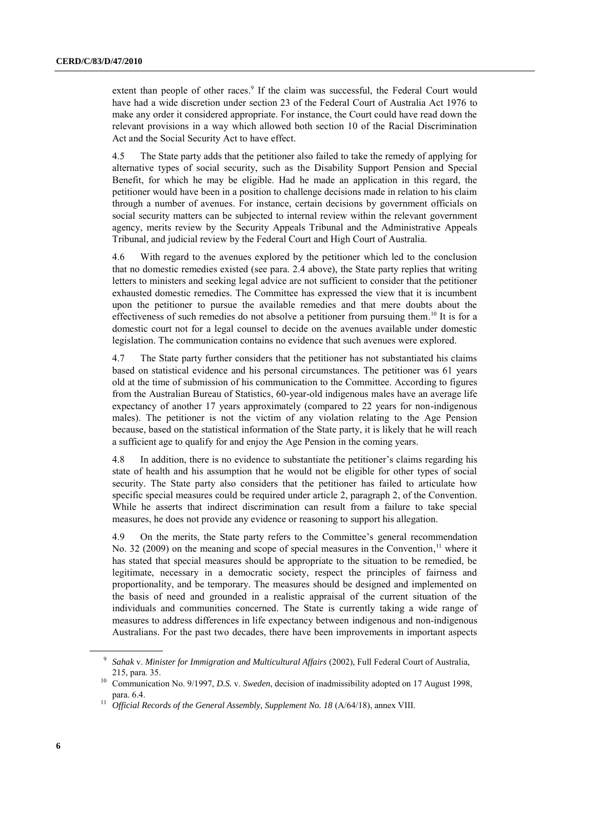extent than people of other races.<sup>9</sup> If the claim was successful, the Federal Court would have had a wide discretion under section 23 of the Federal Court of Australia Act 1976 to make any order it considered appropriate. For instance, the Court could have read down the relevant provisions in a way which allowed both section 10 of the Racial Discrimination Act and the Social Security Act to have effect.

4.5 The State party adds that the petitioner also failed to take the remedy of applying for alternative types of social security, such as the Disability Support Pension and Special Benefit, for which he may be eligible. Had he made an application in this regard, the petitioner would have been in a position to challenge decisions made in relation to his claim through a number of avenues. For instance, certain decisions by government officials on social security matters can be subjected to internal review within the relevant government agency, merits review by the Security Appeals Tribunal and the Administrative Appeals Tribunal, and judicial review by the Federal Court and High Court of Australia.

4.6 With regard to the avenues explored by the petitioner which led to the conclusion that no domestic remedies existed (see para. 2.4 above), the State party replies that writing letters to ministers and seeking legal advice are not sufficient to consider that the petitioner exhausted domestic remedies. The Committee has expressed the view that it is incumbent upon the petitioner to pursue the available remedies and that mere doubts about the effectiveness of such remedies do not absolve a petitioner from pursuing them.<sup>10</sup> It is for a domestic court not for a legal counsel to decide on the avenues available under domestic legislation. The communication contains no evidence that such avenues were explored.

4.7 The State party further considers that the petitioner has not substantiated his claims based on statistical evidence and his personal circumstances. The petitioner was 61 years old at the time of submission of his communication to the Committee. According to figures from the Australian Bureau of Statistics, 60-year-old indigenous males have an average life expectancy of another 17 years approximately (compared to 22 years for non-indigenous males). The petitioner is not the victim of any violation relating to the Age Pension because, based on the statistical information of the State party, it is likely that he will reach a sufficient age to qualify for and enjoy the Age Pension in the coming years.

4.8 In addition, there is no evidence to substantiate the petitioner's claims regarding his state of health and his assumption that he would not be eligible for other types of social security. The State party also considers that the petitioner has failed to articulate how specific special measures could be required under article 2, paragraph 2, of the Convention. While he asserts that indirect discrimination can result from a failure to take special measures, he does not provide any evidence or reasoning to support his allegation.

4.9 On the merits, the State party refers to the Committee's general recommendation No. 32 (2009) on the meaning and scope of special measures in the Convention,<sup>11</sup> where it has stated that special measures should be appropriate to the situation to be remedied, be legitimate, necessary in a democratic society, respect the principles of fairness and proportionality, and be temporary. The measures should be designed and implemented on the basis of need and grounded in a realistic appraisal of the current situation of the individuals and communities concerned. The State is currently taking a wide range of measures to address differences in life expectancy between indigenous and non-indigenous Australians. For the past two decades, there have been improvements in important aspects

<sup>9</sup> *Sahak* v. *Minister for Immigration and Multicultural Affairs* (2002), Full Federal Court of Australia, 215, para. 35.

<sup>10</sup> Communication No. 9/1997, *D.S.* v. *Sweden*, decision of inadmissibility adopted on 17 August 1998, para. 6.4.

<sup>&</sup>lt;sup>11</sup> *Official Records of the General Assembly, Supplement No. 18 (A/64/18), annex VIII.*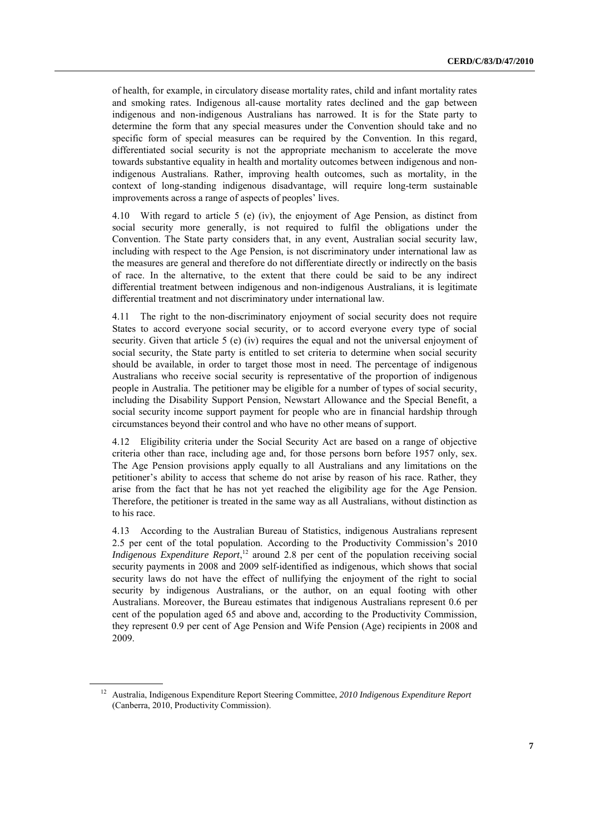of health, for example, in circulatory disease mortality rates, child and infant mortality rates and smoking rates. Indigenous all-cause mortality rates declined and the gap between indigenous and non-indigenous Australians has narrowed. It is for the State party to determine the form that any special measures under the Convention should take and no specific form of special measures can be required by the Convention. In this regard, differentiated social security is not the appropriate mechanism to accelerate the move towards substantive equality in health and mortality outcomes between indigenous and nonindigenous Australians. Rather, improving health outcomes, such as mortality, in the context of long-standing indigenous disadvantage, will require long-term sustainable improvements across a range of aspects of peoples' lives.

4.10 With regard to article 5 (e) (iv), the enjoyment of Age Pension, as distinct from social security more generally, is not required to fulfil the obligations under the Convention. The State party considers that, in any event, Australian social security law, including with respect to the Age Pension, is not discriminatory under international law as the measures are general and therefore do not differentiate directly or indirectly on the basis of race. In the alternative, to the extent that there could be said to be any indirect differential treatment between indigenous and non-indigenous Australians, it is legitimate differential treatment and not discriminatory under international law.

4.11 The right to the non-discriminatory enjoyment of social security does not require States to accord everyone social security, or to accord everyone every type of social security. Given that article 5 (e) (iv) requires the equal and not the universal enjoyment of social security, the State party is entitled to set criteria to determine when social security should be available, in order to target those most in need. The percentage of indigenous Australians who receive social security is representative of the proportion of indigenous people in Australia. The petitioner may be eligible for a number of types of social security, including the Disability Support Pension, Newstart Allowance and the Special Benefit, a social security income support payment for people who are in financial hardship through circumstances beyond their control and who have no other means of support.

4.12 Eligibility criteria under the Social Security Act are based on a range of objective criteria other than race, including age and, for those persons born before 1957 only, sex. The Age Pension provisions apply equally to all Australians and any limitations on the petitioner's ability to access that scheme do not arise by reason of his race. Rather, they arise from the fact that he has not yet reached the eligibility age for the Age Pension. Therefore, the petitioner is treated in the same way as all Australians, without distinction as to his race.

4.13 According to the Australian Bureau of Statistics, indigenous Australians represent 2.5 per cent of the total population. According to the Productivity Commission's 2010 *Indigenous Expenditure Report*,<sup>12</sup> around 2.8 per cent of the population receiving social security payments in 2008 and 2009 self-identified as indigenous, which shows that social security laws do not have the effect of nullifying the enjoyment of the right to social security by indigenous Australians, or the author, on an equal footing with other Australians. Moreover, the Bureau estimates that indigenous Australians represent 0.6 per cent of the population aged 65 and above and, according to the Productivity Commission, they represent 0.9 per cent of Age Pension and Wife Pension (Age) recipients in 2008 and 2009.

<sup>12</sup> Australia, Indigenous Expenditure Report Steering Committee, *2010 Indigenous Expenditure Report* (Canberra, 2010, Productivity Commission).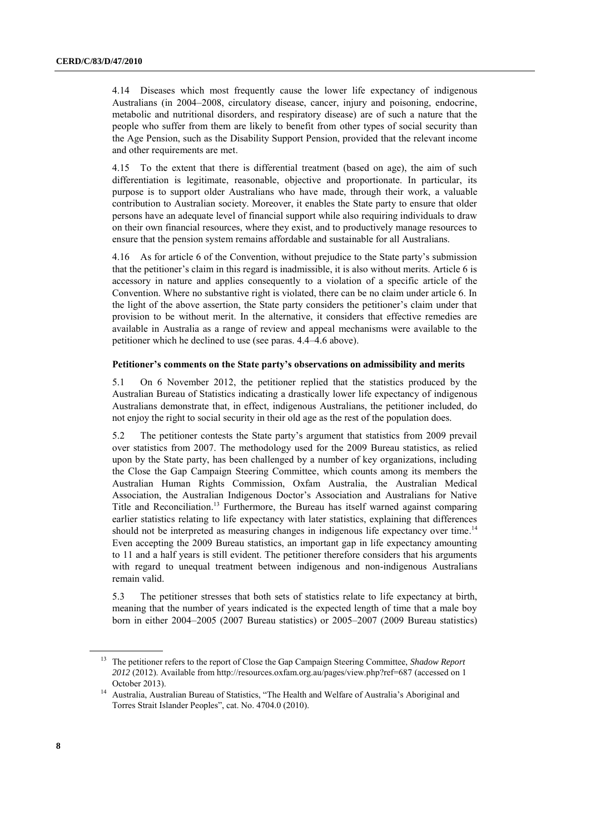4.14 Diseases which most frequently cause the lower life expectancy of indigenous Australians (in 2004–2008, circulatory disease, cancer, injury and poisoning, endocrine, metabolic and nutritional disorders, and respiratory disease) are of such a nature that the people who suffer from them are likely to benefit from other types of social security than the Age Pension, such as the Disability Support Pension, provided that the relevant income and other requirements are met.

4.15 To the extent that there is differential treatment (based on age), the aim of such differentiation is legitimate, reasonable, objective and proportionate. In particular, its purpose is to support older Australians who have made, through their work, a valuable contribution to Australian society. Moreover, it enables the State party to ensure that older persons have an adequate level of financial support while also requiring individuals to draw on their own financial resources, where they exist, and to productively manage resources to ensure that the pension system remains affordable and sustainable for all Australians.

4.16 As for article 6 of the Convention, without prejudice to the State party's submission that the petitioner's claim in this regard is inadmissible, it is also without merits. Article 6 is accessory in nature and applies consequently to a violation of a specific article of the Convention. Where no substantive right is violated, there can be no claim under article 6. In the light of the above assertion, the State party considers the petitioner's claim under that provision to be without merit. In the alternative, it considers that effective remedies are available in Australia as a range of review and appeal mechanisms were available to the petitioner which he declined to use (see paras. 4.4–4.6 above).

#### **Petitioner's comments on the State party's observations on admissibility and merits**

5.1 On 6 November 2012, the petitioner replied that the statistics produced by the Australian Bureau of Statistics indicating a drastically lower life expectancy of indigenous Australians demonstrate that, in effect, indigenous Australians, the petitioner included, do not enjoy the right to social security in their old age as the rest of the population does.

5.2 The petitioner contests the State party's argument that statistics from 2009 prevail over statistics from 2007. The methodology used for the 2009 Bureau statistics, as relied upon by the State party, has been challenged by a number of key organizations, including the Close the Gap Campaign Steering Committee, which counts among its members the Australian Human Rights Commission, Oxfam Australia, the Australian Medical Association, the Australian Indigenous Doctor's Association and Australians for Native Title and Reconciliation. <sup>13</sup> Furthermore, the Bureau has itself warned against comparing earlier statistics relating to life expectancy with later statistics, explaining that differences should not be interpreted as measuring changes in indigenous life expectancy over time.<sup>14</sup> Even accepting the 2009 Bureau statistics, an important gap in life expectancy amounting to 11 and a half years is still evident. The petitioner therefore considers that his arguments with regard to unequal treatment between indigenous and non-indigenous Australians remain valid.

5.3 The petitioner stresses that both sets of statistics relate to life expectancy at birth, meaning that the number of years indicated is the expected length of time that a male boy born in either 2004–2005 (2007 Bureau statistics) or 2005–2007 (2009 Bureau statistics)

<sup>13</sup> The petitioner refers to the report of Close the Gap Campaign Steering Committee, *Shadow Report 2012* (2012). Available from<http://resources.oxfam.org.au/pages/view.php?ref=687> (accessed on 1 October 2013).

<sup>14</sup> Australia, Australian Bureau of Statistics, "The Health and Welfare of Australia's Aboriginal and Torres Strait Islander Peoples", cat. No. 4704.0 (2010).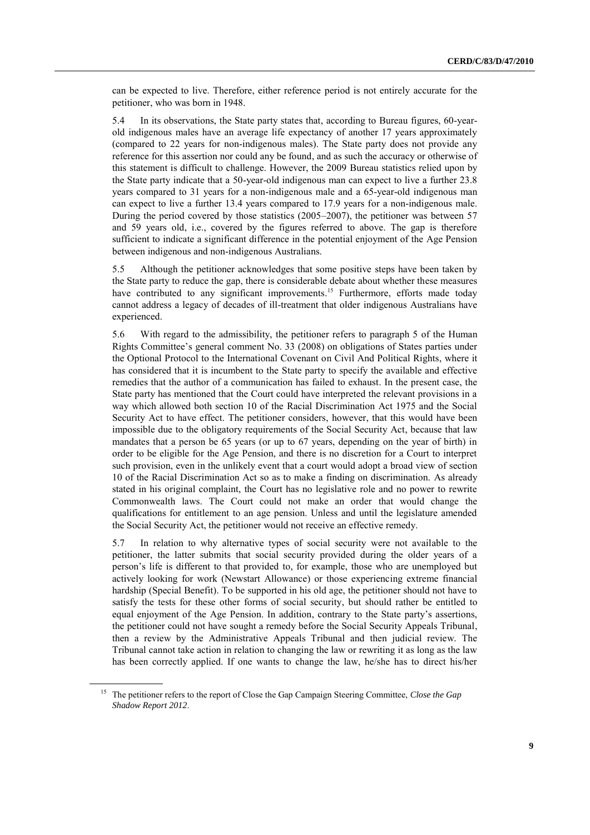can be expected to live. Therefore, either reference period is not entirely accurate for the petitioner, who was born in 1948.

5.4 In its observations, the State party states that, according to Bureau figures, 60-yearold indigenous males have an average life expectancy of another 17 years approximately (compared to 22 years for non-indigenous males). The State party does not provide any reference for this assertion nor could any be found, and as such the accuracy or otherwise of this statement is difficult to challenge. However, the 2009 Bureau statistics relied upon by the State party indicate that a 50-year-old indigenous man can expect to live a further 23.8 years compared to 31 years for a non-indigenous male and a 65-year-old indigenous man can expect to live a further 13.4 years compared to 17.9 years for a non-indigenous male. During the period covered by those statistics (2005–2007), the petitioner was between 57 and 59 years old, i.e., covered by the figures referred to above. The gap is therefore sufficient to indicate a significant difference in the potential enjoyment of the Age Pension between indigenous and non-indigenous Australians.

5.5 Although the petitioner acknowledges that some positive steps have been taken by the State party to reduce the gap, there is considerable debate about whether these measures have contributed to any significant improvements.<sup>15</sup> Furthermore, efforts made today cannot address a legacy of decades of ill-treatment that older indigenous Australians have experienced.

5.6 With regard to the admissibility, the petitioner refers to paragraph 5 of the Human Rights Committee's general comment No. 33 (2008) on obligations of States parties under the Optional Protocol to the International Covenant on Civil And Political Rights, where it has considered that it is incumbent to the State party to specify the available and effective remedies that the author of a communication has failed to exhaust. In the present case, the State party has mentioned that the Court could have interpreted the relevant provisions in a way which allowed both section 10 of the Racial Discrimination Act 1975 and the Social Security Act to have effect. The petitioner considers, however, that this would have been impossible due to the obligatory requirements of the Social Security Act, because that law mandates that a person be 65 years (or up to 67 years, depending on the year of birth) in order to be eligible for the Age Pension, and there is no discretion for a Court to interpret such provision, even in the unlikely event that a court would adopt a broad view of section 10 of the Racial Discrimination Act so as to make a finding on discrimination. As already stated in his original complaint, the Court has no legislative role and no power to rewrite Commonwealth laws. The Court could not make an order that would change the qualifications for entitlement to an age pension. Unless and until the legislature amended the Social Security Act, the petitioner would not receive an effective remedy.

5.7 In relation to why alternative types of social security were not available to the petitioner, the latter submits that social security provided during the older years of a person's life is different to that provided to, for example, those who are unemployed but actively looking for work (Newstart Allowance) or those experiencing extreme financial hardship (Special Benefit). To be supported in his old age, the petitioner should not have to satisfy the tests for these other forms of social security, but should rather be entitled to equal enjoyment of the Age Pension. In addition, contrary to the State party's assertions, the petitioner could not have sought a remedy before the Social Security Appeals Tribunal, then a review by the Administrative Appeals Tribunal and then judicial review. The Tribunal cannot take action in relation to changing the law or rewriting it as long as the law has been correctly applied. If one wants to change the law, he/she has to direct his/her

<sup>15</sup> The petitioner refers to the report of Close the Gap Campaign Steering Committee, *Close the Gap Shadow Report 2012*.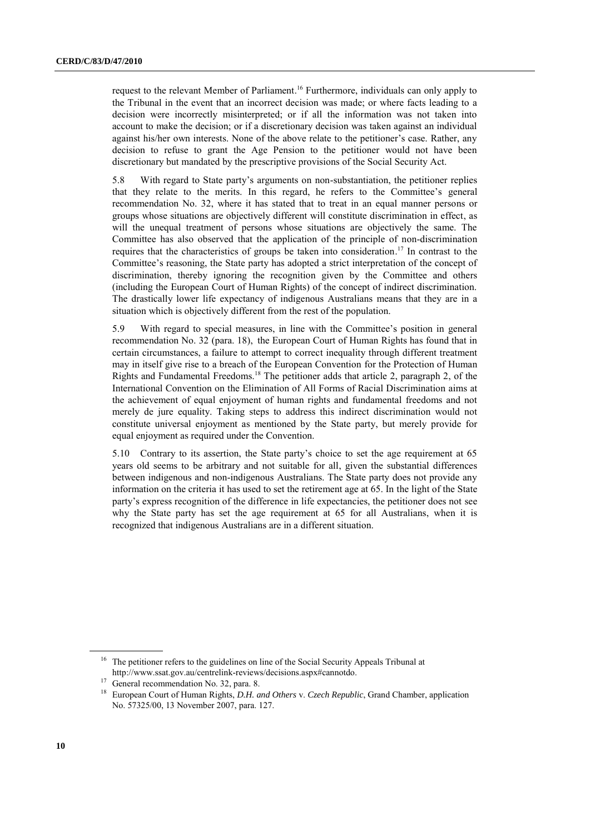request to the relevant Member of Parliament. <sup>16</sup> Furthermore, individuals can only apply to the Tribunal in the event that an incorrect decision was made; or where facts leading to a decision were incorrectly misinterpreted; or if all the information was not taken into account to make the decision; or if a discretionary decision was taken against an individual against his/her own interests. None of the above relate to the petitioner's case. Rather, any decision to refuse to grant the Age Pension to the petitioner would not have been discretionary but mandated by the prescriptive provisions of the Social Security Act.

5.8 With regard to State party's arguments on non-substantiation, the petitioner replies that they relate to the merits. In this regard, he refers to the Committee's general recommendation No. 32, where it has stated that to treat in an equal manner persons or groups whose situations are objectively different will constitute discrimination in effect, as will the unequal treatment of persons whose situations are objectively the same. The Committee has also observed that the application of the principle of non-discrimination requires that the characteristics of groups be taken into consideration. <sup>17</sup> In contrast to the Committee's reasoning, the State party has adopted a strict interpretation of the concept of discrimination, thereby ignoring the recognition given by the Committee and others (including the European Court of Human Rights) of the concept of indirect discrimination. The drastically lower life expectancy of indigenous Australians means that they are in a situation which is objectively different from the rest of the population.

5.9 With regard to special measures, in line with the Committee's position in general recommendation No. 32 (para. 18), the European Court of Human Rights has found that in certain circumstances, a failure to attempt to correct inequality through different treatment may in itself give rise to a breach of the European Convention for the Protection of Human Rights and Fundamental Freedoms.<sup>18</sup> The petitioner adds that article 2, paragraph 2, of the International Convention on the Elimination of All Forms of Racial Discrimination aims at the achievement of equal enjoyment of human rights and fundamental freedoms and not merely de jure equality. Taking steps to address this indirect discrimination would not constitute universal enjoyment as mentioned by the State party, but merely provide for equal enjoyment as required under the Convention.

5.10 Contrary to its assertion, the State party's choice to set the age requirement at 65 years old seems to be arbitrary and not suitable for all, given the substantial differences between indigenous and non-indigenous Australians. The State party does not provide any information on the criteria it has used to set the retirement age at 65. In the light of the State party's express recognition of the difference in life expectancies, the petitioner does not see why the State party has set the age requirement at 65 for all Australians, when it is recognized that indigenous Australians are in a different situation.

<sup>&</sup>lt;sup>16</sup> The petitioner refers to the guidelines on line of the Social Security Appeals Tribunal at [http://www.ssat.gov.au/centrelink-reviews/decisions.aspx#cannotdo.](http://www.ssat.gov.au/centrelink-reviews/decisions.aspx#cannotdo)

<sup>&</sup>lt;sup>17</sup> General recommendation No. 32, para. 8.

<sup>18</sup> European Court of Human Rights, *D.H. and Others* v. *Czech Republic*, Grand Chamber, application No. 57325/00, 13 November 2007, para. 127.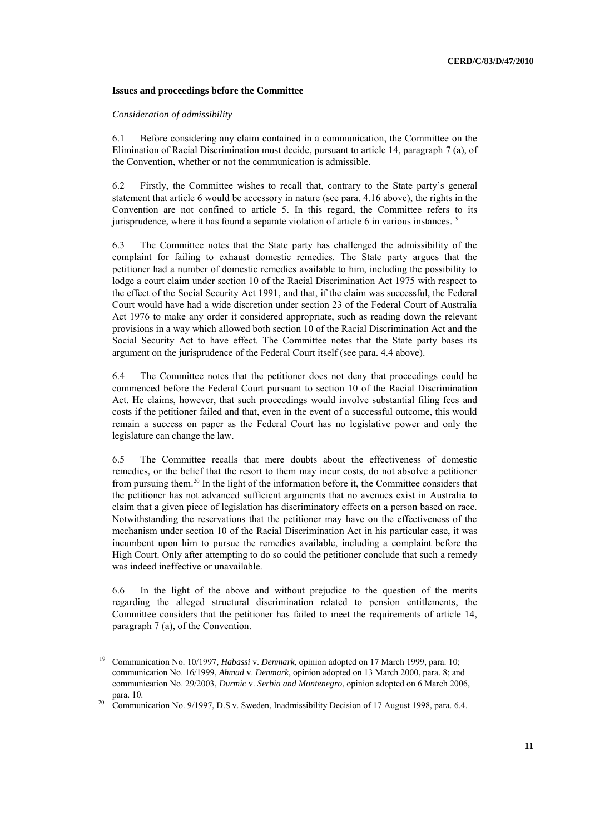#### **Issues and proceedings before the Committee**

#### *Consideration of admissibility*

6.1 Before considering any claim contained in a communication, the Committee on the Elimination of Racial Discrimination must decide, pursuant to article 14, paragraph 7 (a), of the Convention, whether or not the communication is admissible.

6.2 Firstly, the Committee wishes to recall that, contrary to the State party's general statement that article 6 would be accessory in nature (see para. 4.16 above), the rights in the Convention are not confined to article 5. In this regard, the Committee refers to its jurisprudence, where it has found a separate violation of article 6 in various instances.<sup>19</sup>

6.3 The Committee notes that the State party has challenged the admissibility of the complaint for failing to exhaust domestic remedies. The State party argues that the petitioner had a number of domestic remedies available to him, including the possibility to lodge a court claim under section 10 of the Racial Discrimination Act 1975 with respect to the effect of the Social Security Act 1991, and that, if the claim was successful, the Federal Court would have had a wide discretion under section 23 of the Federal Court of Australia Act 1976 to make any order it considered appropriate, such as reading down the relevant provisions in a way which allowed both section 10 of the Racial Discrimination Act and the Social Security Act to have effect. The Committee notes that the State party bases its argument on the jurisprudence of the Federal Court itself (see para. 4.4 above).

6.4 The Committee notes that the petitioner does not deny that proceedings could be commenced before the Federal Court pursuant to section 10 of the Racial Discrimination Act. He claims, however, that such proceedings would involve substantial filing fees and costs if the petitioner failed and that, even in the event of a successful outcome, this would remain a success on paper as the Federal Court has no legislative power and only the legislature can change the law.

6.5 The Committee recalls that mere doubts about the effectiveness of domestic remedies, or the belief that the resort to them may incur costs, do not absolve a petitioner from pursuing them.<sup>20</sup> In the light of the information before it, the Committee considers that the petitioner has not advanced sufficient arguments that no avenues exist in Australia to claim that a given piece of legislation has discriminatory effects on a person based on race. Notwithstanding the reservations that the petitioner may have on the effectiveness of the mechanism under section 10 of the Racial Discrimination Act in his particular case, it was incumbent upon him to pursue the remedies available, including a complaint before the High Court. Only after attempting to do so could the petitioner conclude that such a remedy was indeed ineffective or unavailable.

6.6 In the light of the above and without prejudice to the question of the merits regarding the alleged structural discrimination related to pension entitlements, the Committee considers that the petitioner has failed to meet the requirements of article 14, paragraph 7 (a), of the Convention.

<sup>19</sup> Communication No. 10/1997, *Habassi* v. *Denmark*, opinion adopted on 17 March 1999, para. 10; communication No. 16/1999, *Ahmad* v. *Denmark*, opinion adopted on 13 March 2000, para. 8; and communication No. 29/2003, *Durmic* v. *Serbia and Montenegro*, opinion adopted on 6 March 2006, para. 10.

<sup>&</sup>lt;sup>20</sup> Communication No. 9/1997, D.S v. Sweden, Inadmissibility Decision of 17 August 1998, para. 6.4.